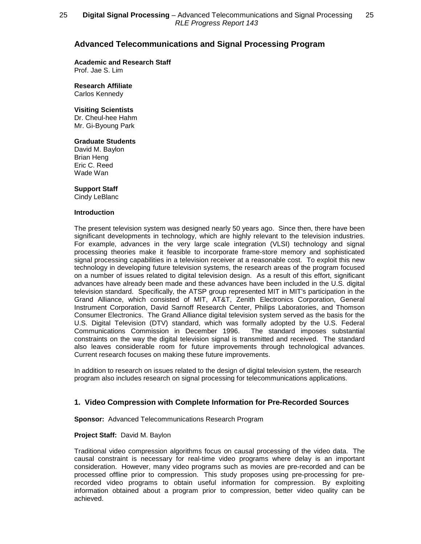# **Advanced Telecommunications and Signal Processing Program**

# **Academic and Research Staff**

Prof. Jae S. Lim

**Research Affiliate** Carlos Kennedy

### **Visiting Scientists**

Dr. Cheul-hee Hahm Mr. Gi-Byoung Park

### **Graduate Students**

David M. Baylon Brian Heng Eric C. Reed Wade Wan

### **Support Staff**

Cindy LeBlanc

#### **Introduction**

The present television system was designed nearly 50 years ago. Since then, there have been significant developments in technology, which are highly relevant to the television industries. For example, advances in the very large scale integration (VLSI) technology and signal processing theories make it feasible to incorporate frame-store memory and sophisticated signal processing capabilities in a television receiver at a reasonable cost. To exploit this new technology in developing future television systems, the research areas of the program focused on a number of issues related to digital television design. As a result of this effort, significant advances have already been made and these advances have been included in the U.S. digital television standard. Specifically, the ATSP group represented MIT in MIT's participation in the Grand Alliance, which consisted of MIT, AT&T, Zenith Electronics Corporation, General Instrument Corporation, David Sarnoff Research Center, Philips Laboratories, and Thomson Consumer Electronics. The Grand Alliance digital television system served as the basis for the U.S. Digital Television (DTV) standard, which was formally adopted by the U.S. Federal Communications Commission in December 1996. The standard imposes substantial constraints on the way the digital television signal is transmitted and received. The standard also leaves considerable room for future improvements through technological advances. Current research focuses on making these future improvements.

In addition to research on issues related to the design of digital television system, the research program also includes research on signal processing for telecommunications applications.

# **1. Video Compression with Complete Information for Pre-Recorded Sources**

**Sponsor:** Advanced Telecommunications Research Program

### **Project Staff:** David M. Baylon

Traditional video compression algorithms focus on causal processing of the video data. The causal constraint is necessary for real-time video programs where delay is an important consideration. However, many video programs such as movies are pre-recorded and can be processed offline prior to compression. This study proposes using pre-processing for prerecorded video programs to obtain useful information for compression. By exploiting information obtained about a program prior to compression, better video quality can be achieved.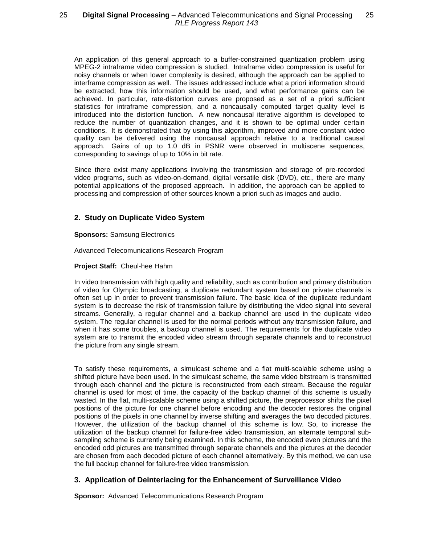# 25 **— Digital Signal Processing** – Advanced Telecommunications and Signal Processing — 25 RLE Progress Report 143

An application of this general approach to a buffer-constrained quantization problem using MPEG-2 intraframe video compression is studied. Intraframe video compression is useful for noisy channels or when lower complexity is desired, although the approach can be applied to interframe compression as well. The issues addressed include what a priori information should be extracted, how this information should be used, and what performance gains can be achieved. In particular, rate-distortion curves are proposed as a set of a priori sufficient statistics for intraframe compression, and a noncausally computed target quality level is introduced into the distortion function. A new noncausal iterative algorithm is developed to reduce the number of quantization changes, and it is shown to be optimal under certain conditions. It is demonstrated that by using this algorithm, improved and more constant video quality can be delivered using the noncausal approach relative to a traditional causal approach. Gains of up to 1.0 dB in PSNR were observed in multiscene sequences, corresponding to savings of up to 10% in bit rate.

Since there exist many applications involving the transmission and storage of pre-recorded video programs, such as video-on-demand, digital versatile disk (DVD), etc., there are many potential applications of the proposed approach. In addition, the approach can be applied to processing and compression of other sources known a priori such as images and audio.

# **2. Study on Duplicate Video System**

### **Sponsors:** Samsung Electronics

Advanced Telecomunications Research Program

## **Project Staff:** Cheul-hee Hahm

In video transmission with high quality and reliability, such as contribution and primary distribution of video for Olympic broadcasting, a duplicate redundant system based on private channels is often set up in order to prevent transmission failure. The basic idea of the duplicate redundant system is to decrease the risk of transmission failure by distributing the video signal into several streams. Generally, a regular channel and a backup channel are used in the duplicate video system. The regular channel is used for the normal periods without any transmission failure, and when it has some troubles, a backup channel is used. The requirements for the duplicate video system are to transmit the encoded video stream through separate channels and to reconstruct the picture from any single stream.

To satisfy these requirements, a simulcast scheme and a flat multi-scalable scheme using a shifted picture have been used. In the simulcast scheme, the same video bitstream is transmitted through each channel and the picture is reconstructed from each stream. Because the regular channel is used for most of time, the capacity of the backup channel of this scheme is usually wasted. In the flat, multi-scalable scheme using a shifted picture, the preprocessor shifts the pixel positions of the picture for one channel before encoding and the decoder restores the original positions of the pixels in one channel by inverse shifting and averages the two decoded pictures. However, the utilization of the backup channel of this scheme is low. So, to increase the utilization of the backup channel for failure-free video transmission, an alternate temporal subsampling scheme is currently being examined. In this scheme, the encoded even pictures and the encoded odd pictures are transmitted through separate channels and the pictures at the decoder are chosen from each decoded picture of each channel alternatively. By this method, we can use the full backup channel for failure-free video transmission.

# **3. Application of Deinterlacing for the Enhancement of Surveillance Video**

**Sponsor:** Advanced Telecommunications Research Program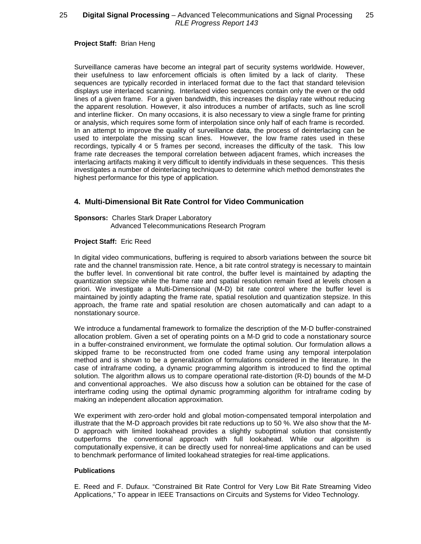# 25 **Digital Signal Processing** – Advanced Telecommunications and Signal Processing 25 RLE Progress Report 143

**Project Staff:** Brian Heng

Surveillance cameras have become an integral part of security systems worldwide. However, their usefulness to law enforcement officials is often limited by a lack of clarity. These sequences are typically recorded in interlaced format due to the fact that standard television displays use interlaced scanning. Interlaced video sequences contain only the even or the odd lines of a given frame. For a given bandwidth, this increases the display rate without reducing the apparent resolution. However, it also introduces a number of artifacts, such as line scroll and interline flicker. On many occasions, it is also necessary to view a single frame for printing or analysis, which requires some form of interpolation since only half of each frame is recorded. In an attempt to improve the quality of surveillance data, the process of deinterlacing can be used to interpolate the missing scan lines. However, the low frame rates used in these recordings, typically 4 or 5 frames per second, increases the difficulty of the task. This low frame rate decreases the temporal correlation between adjacent frames, which increases the interlacing artifacts making it very difficult to identify individuals in these sequences. This thesis investigates a number of deinterlacing techniques to determine which method demonstrates the highest performance for this type of application.

# **4. Multi-Dimensional Bit Rate Control for Video Communication**

#### **Sponsors:** Charles Stark Draper Laboratory Advanced Telecommunications Research Program

### **Project Staff:** Eric Reed

In digital video communications, buffering is required to absorb variations between the source bit rate and the channel transmission rate. Hence, a bit rate control strategy is necessary to maintain the buffer level. In conventional bit rate control, the buffer level is maintained by adapting the quantization stepsize while the frame rate and spatial resolution remain fixed at levels chosen a priori. We investigate a Multi-Dimensional (M-D) bit rate control where the buffer level is maintained by jointly adapting the frame rate, spatial resolution and quantization stepsize. In this approach, the frame rate and spatial resolution are chosen automatically and can adapt to a nonstationary source.

We introduce a fundamental framework to formalize the description of the M-D buffer-constrained allocation problem. Given a set of operating points on a M-D grid to code a nonstationary source in a buffer-constrained environment, we formulate the optimal solution. Our formulation allows a skipped frame to be reconstructed from one coded frame using any temporal interpolation method and is shown to be a generalization of formulations considered in the literature. In the case of intraframe coding, a dynamic programming algorithm is introduced to find the optimal solution. The algorithm allows us to compare operational rate-distortion (R-D) bounds of the M-D and conventional approaches. We also discuss how a solution can be obtained for the case of interframe coding using the optimal dynamic programming algorithm for intraframe coding by making an independent allocation approximation.

We experiment with zero-order hold and global motion-compensated temporal interpolation and illustrate that the M-D approach provides bit rate reductions up to 50 %. We also show that the M-D approach with limited lookahead provides a slightly suboptimal solution that consistently outperforms the conventional approach with full lookahead. While our algorithm is computationally expensive, it can be directly used for nonreal-time applications and can be used to benchmark performance of limited lookahead strategies for real-time applications.

### **Publications**

E. Reed and F. Dufaux. "Constrained Bit Rate Control for Very Low Bit Rate Streaming Video Applications," To appear in IEEE Transactions on Circuits and Systems for Video Technology.